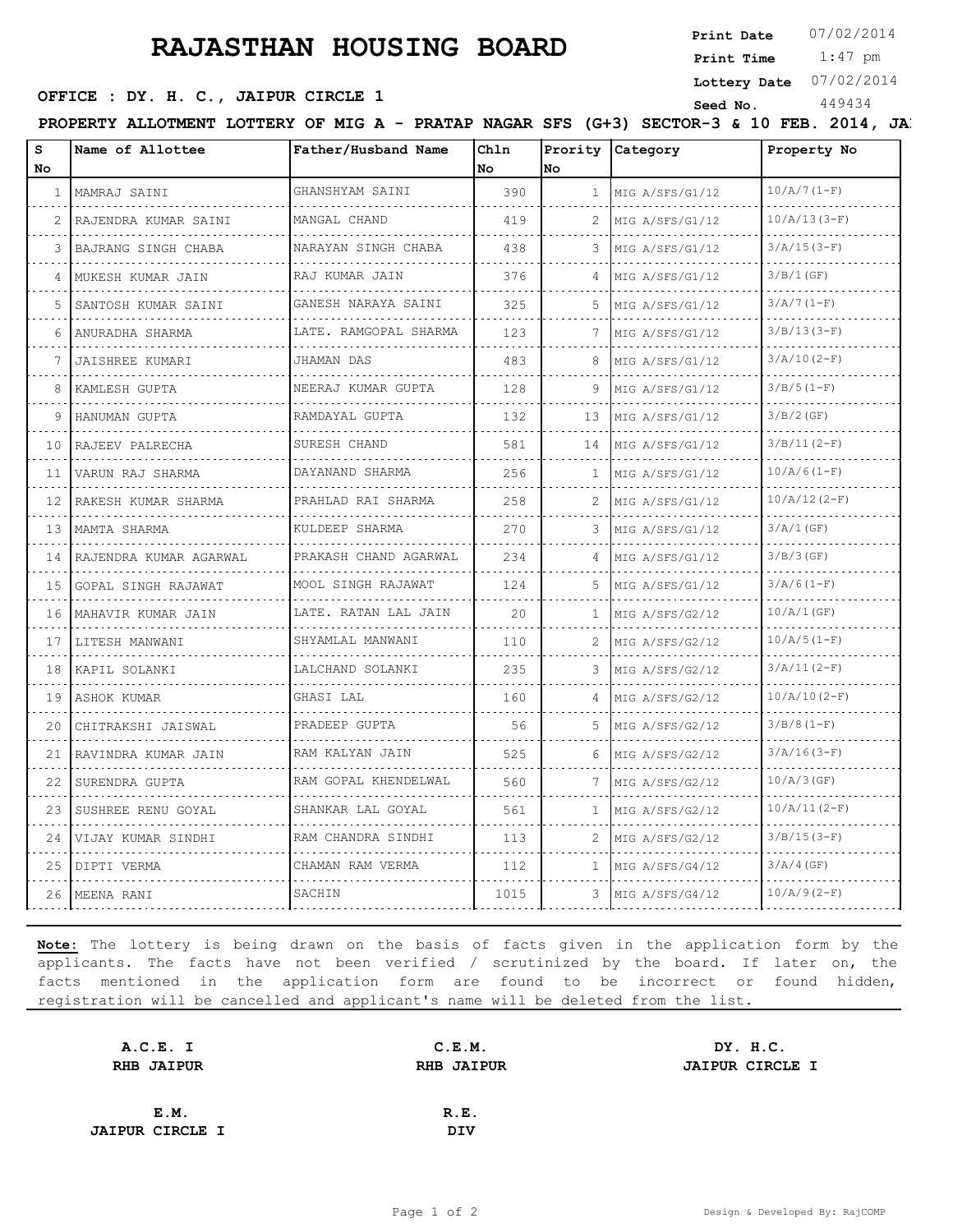## **RAJASTHAN HOUSING BOARD**

**Print Date**  $07/02/2014$ 

 1:47 pm **Print Time**

**Lottery Date** 07/02/2014

## **SEED OFFICE : DY. H. C., JAIPUR CIRCLE 1** Seed No. 449434

**PROPERTY ALLOTMENT LOTTERY OF MIG A - PRATAP NAGAR SFS (G+3) SECTOR-3 & 10 FEB. 2014, JA.** 

| s<br>No | Name of Allottee         | Father/Husband Name             | Chln<br>No | lno          | Prority Category     | Property No    |
|---------|--------------------------|---------------------------------|------------|--------------|----------------------|----------------|
|         | 1   MAMRAJ SAINI         | GHANSHYAM SAINI                 | 390        | $\mathbf{1}$ | MIG A/SFS/G1/12      | $10/A/7(1-F)$  |
| 2       | RAJENDRA KUMAR SAINI     | MANGAL CHAND                    | 419        | 2.           | MIG A/SFS/G1/12      | $10/A/13(3-F)$ |
|         | BAJRANG SINGH CHABA      | NARAYAN SINGH CHABA             | 438        |              | MIG A/SFS/G1/12      | $3/A/15(3-F)$  |
| 4       | MUKESH KUMAR JAIN        | .<br>RAJ KUMAR JAIN             | 376        | 4            | MIG A/SFS/G1/12      | 3/B/1(GF)      |
| 5       | .<br>SANTOSH KUMAR SAINI | GANESH NARAYA SAINI             | 325        | 5.           | MIG A/SFS/G1/12      | $3/A/7(1-F)$   |
| 6       | ANURADHA SHARMA          | LATE. RAMGOPAL SHARMA           | 123        | 7            | MIG A/SFS/G1/12      | $3/B/13(3-F)$  |
|         | <b>JAISHREE KUMARI</b>   | JHAMAN DAS                      | 483        | 8            | MIG A/SFS/G1/12      | $3/A/10(2-F)$  |
| 8       | KAMLESH GUPTA            | NEERAJ KUMAR GUPTA              | 128        | 9            | MIG A/SFS/G1/12      | $3/B/5(1-F)$   |
| 9       | HANUMAN GUPTA            | RAMDAYAL GUPTA<br>.             | 132        | 13           | MIG A/SFS/G1/12      | $3/B/2$ (GF)   |
| 10      | RAJEEV PALRECHA<br>.     | SURESH CHAND                    | 581        | 14           | MIG A/SFS/G1/12<br>. | $3/B/11(2-F)$  |
| 11      | VARUN RAJ SHARMA         | DAYANAND SHARMA                 | 256        | 1            | MIG A/SFS/G1/12      | $10/A/6(1-F)$  |
| 12      | RAKESH KUMAR SHARMA      | PRAHLAD RAI SHARMA<br>.         | 258        |              | MIG A/SFS/G1/12      | $10/A/12(2-F)$ |
|         | 13 MAMTA SHARMA          | KULDEEP SHARMA<br>.             | 270        | 3            | MIG A/SFS/G1/12<br>. | $3/A/1$ (GF)   |
| 14      | RAJENDRA KUMAR AGARWAL   | PRAKASH CHAND AGARWAL           | 234        |              | MIG A/SFS/G1/12      | 3/B/3(GF)      |
| 15      | GOPAL SINGH RAJAWAT      | MOOL SINGH RAJAWAT<br>.         | 124        | 5.           | MIG A/SFS/G1/12      | $3/A/6(1-F)$   |
| 16      | MAHAVIR KUMAR JAIN       | LATE. RATAN LAL JAIN<br>.       | 20         | $\mathbf{1}$ | MIG A/SFS/G2/12<br>. | 10/A/1(GF)     |
| 17      | LITESH MANWANI           | SHYAMLAL MANWANI                | 110        | 2.           | MIG A/SFS/G2/12      | $10/A/5(1-F)$  |
| 18      | KAPIL SOLANKI            | LALCHAND SOLANKI<br>.           | 235        | 3            | MIG A/SFS/G2/12<br>. | $3/A/11(2-F)$  |
| 19      | ASHOK KUMAR              | GHASI LAL                       | 160        | 4            | MIG A/SFS/G2/12      | $10/A/10(2-F)$ |
| 20      | CHITRAKSHI JAISWAL       | PRADEEP GUPTA                   | 56         | 5.           | MIG A/SFS/G2/12      | $3/B/8(1-F)$   |
| 21      | RAVINDRA KUMAR JAIN      | RAM KALYAN JAIN<br>. <u>.</u> . | 525        | 6            | MIG A/SFS/G2/12<br>. | $3/A/16(3-F)$  |
| 22      | SURENDRA GUPTA           | RAM GOPAL KHENDELWAL<br>.       | 560        | 7            | MIG A/SFS/G2/12      | $10/A/3$ (GF)  |
| 23      | SUSHREE RENU GOYAL       | SHANKAR LAL GOYAL               | 561        | 1            | MIG A/SFS/G2/12      | $10/A/11(2-F)$ |
| 24      | VIJAY KUMAR SINDHI       | RAM CHANDRA SINDHI              | 113        | 2.           | MIG A/SFS/G2/12      | $3/B/15(3-F)$  |
|         | 25   DIPTI VERMA         | CHAMAN RAM VERMA                | 112        | $\mathbf{1}$ | MIG A/SFS/G4/12      | $3/A/4$ (GF)   |
|         | 26   MEENA RANI          | SACHIN                          | 1015       | 3.           | MIG A/SFS/G4/12      | $10/A/9(2-F)$  |
|         |                          |                                 |            |              |                      |                |

**Note:** The lottery is being drawn on the basis of facts given in the application form by the applicants. The facts have not been verified / scrutinized by the board. If later on, the facts mentioned in the application form are found to be incorrect or found hidden, registration will be cancelled and applicant's name will be deleted from the list.

| A.C.E. I               | C.E.M.            | DY. H.C.               |
|------------------------|-------------------|------------------------|
| <b>RHB JAIPUR</b>      | <b>RHB JAIPUR</b> | <b>JAIPUR CIRCLE I</b> |
|                        |                   |                        |
| E.M.                   | R.E.              |                        |
| <b>JAIPUR CIRCLE I</b> | <b>DIV</b>        |                        |